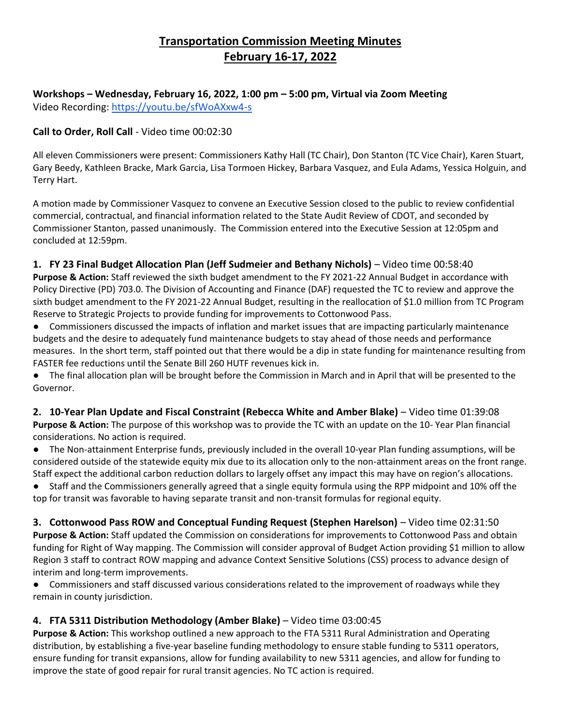# **Transportation Commission Meeting Minutes February 16-17, 2022**

**Workshops – Wednesday, February 16, 2022, 1:00 pm – 5:00 pm, Virtual via Zoom Meeting** Video Recording[:](https://youtu.be/sfWoAXxw4-s) <https://youtu.be/sfWoAXxw4-s>

#### **Call to Order, Roll Call** - Video time 00:02:30

All eleven Commissioners were present: Commissioners Kathy Hall (TC Chair), Don Stanton (TC Vice Chair), Karen Stuart, Gary Beedy, Kathleen Bracke, Mark Garcia, Lisa Tormoen Hickey, Barbara Vasquez, and Eula Adams, Yessica Holguin, and Terry Hart.

A motion made by Commissioner Vasquez to convene an Executive Session closed to the public to review confidential commercial, contractual, and financial information related to the State Audit Review of CDOT, and seconded by Commissioner Stanton, passed unanimously. The Commission entered into the Executive Session at 12:05pm and concluded at 12:59pm.

#### **1. FY 23 Final Budget Allocation Plan (Jeff Sudmeier and Bethany Nichols)** [–](https://youtu.be/sfWoAXxw4-s?t=58m40s) [Video time](https://youtu.be/sfWoAXxw4-s?t=58m40s) 00:58:40

**Purpose & Action:** Staff reviewed the sixth budget amendment to the FY 2021-22 Annual Budget in accordance with Policy Directive (PD) 703.0. The Division of Accounting and Finance (DAF) requested the TC to review and approve the sixth budget amendment to the FY 2021-22 Annual Budget, resulting in the reallocation of \$1.0 million from TC Program Reserve to Strategic Projects to provide funding for improvements to Cottonwood Pass.

● Commissioners discussed the impacts of inflation and market issues that are impacting particularly maintenance budgets and the desire to adequately fund maintenance budgets to stay ahead of those needs and performance measures. In the short term, staff pointed out that there would be a dip in state funding for maintenance resulting from FASTER fee reductions until the Senate Bill 260 HUTF revenues kick in.

● The final allocation plan will be brought before the Commission in March and in April that will be presented to the Governor.

**2. 10-Year Plan Update and Fiscal Constraint (Rebecca White and Amber Blake)** [–](https://youtu.be/sfWoAXxw4-s?t=1h39m08s) Video time 01:39:08 **Purpose & Action:** The purpose of this workshop was to provide the TC with an update on the 10- Year Plan financial considerations. No action is required.

● The Non-attainment Enterprise funds, previously included in the overall 10-year Plan funding assumptions, will be considered outside of the statewide equity mix due to its allocation only to the non-attainment areas on the front range. Staff expect the additional carbon reduction dollars to largely offset any impact this may have on region's allocations.

● Staff and the Commissioners generally agreed that a single equity formula using the RPP midpoint and 10% off the top for transit was favorable to having separate transit and non-transit formulas for regional equity.

**3. Cottonwood Pass ROW and Conceptual Funding Request (Stephen Harelson)** [–](https://youtu.be/sfWoAXxw4-s?t=2h31m50s) Video time 02:31:50 **Purpose & Action:** Staff updated the Commission on considerations for improvements to Cottonwood Pass and obtain funding for Right of Way mapping. The Commission will consider approval of Budget Action providing \$1 million to allow Region 3 staff to contract ROW mapping and advance Context Sensitive Solutions (CSS) process to advance design of interim and long-term improvements.

● Commissioners and staff discussed various considerations related to the improvement of roadways while they remain in county jurisdiction.

#### **4. FTA 5311 Distribution Methodology (Amber Blake)** [–](https://youtu.be/sfWoAXxw4-s?t=3h0m45s) Video time 03:00:45

**Purpose & Action:** This workshop outlined a new approach to the FTA 5311 Rural Administration and Operating distribution, by establishing a five-year baseline funding methodology to ensure stable funding to 5311 operators, ensure funding for transit expansions, allow for funding availability to new 5311 agencies, and allow for funding to improve the state of good repair for rural transit agencies. No TC action is required.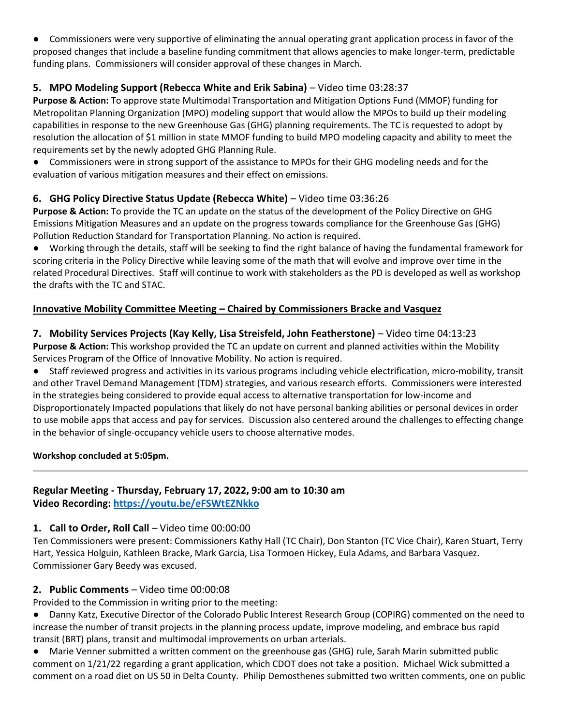● Commissioners were very supportive of eliminating the annual operating grant application process in favor of the proposed changes that include a baseline funding commitment that allows agencies to make longer-term, predictable funding plans. Commissioners will consider approval of these changes in March.

## **5. MPO Modeling Support (Rebecca White and Erik Sabina)** [–](https://youtu.be/sfWoAXxw4-s?t=3h28m37s) Video time 03:28:37

**Purpose & Action:** To approve state Multimodal Transportation and Mitigation Options Fund (MMOF) funding for Metropolitan Planning Organization (MPO) modeling support that would allow the MPOs to build up their modeling capabilities in response to the new Greenhouse Gas (GHG) planning requirements. The TC is requested to adopt by resolution the allocation of \$1 million in state MMOF funding to build MPO modeling capacity and ability to meet the requirements set by the newly adopted GHG Planning Rule.

● Commissioners were in strong support of the assistance to MPOs for their GHG modeling needs and for the evaluation of various mitigation measures and their effect on emissions.

## **6. GHG Policy Directive Status Update (Rebecca White)** [–](https://youtu.be/sfWoAXxw4-s?t=3h36m26s) Video time 03:36:26

**Purpose & Action:** To provide the TC an update on the status of the development of the Policy Directive on GHG Emissions Mitigation Measures and an update on the progress towards compliance for the Greenhouse Gas (GHG) Pollution Reduction Standard for Transportation Planning. No action is required.

● Working through the details, staff will be seeking to find the right balance of having the fundamental framework for scoring criteria in the Policy Directive while leaving some of the math that will evolve and improve over time in the related Procedural Directives. Staff will continue to work with stakeholders as the PD is developed as well as workshop the drafts with the TC and STAC.

## **Innovative Mobility Committee Meeting – Chaired by Commissioners Bracke and Vasquez**

## **7. Mobility Services Projects (Kay Kelly, Lisa Streisfeld, John Featherstone)** [–](https://youtu.be/sfWoAXxw4-s?t=4h13m23s) Video time 04:13:23

**Purpose & Action:** This workshop provided the TC an update on current and planned activities within the Mobility Services Program of the Office of Innovative Mobility. No action is required.

● Staff reviewed progress and activities in its various programs including vehicle electrification, micro-mobility, transit and other Travel Demand Management (TDM) strategies, and various research efforts. Commissioners were interested in the strategies being considered to provide equal access to alternative transportation for low-income and Disproportionately Impacted populations that likely do not have personal banking abilities or personal devices in order to use mobile apps that access and pay for services. Discussion also centered around the challenges to effecting change in the behavior of single-occupancy vehicle users to choose alternative modes.

#### **Workshop concluded at 5:05pm.**

#### **Regular Meeting - Thursday, February 17, 2022, 9:00 am to 10:30 am Video Recording:<https://youtu.be/eFSWtEZNkko>**

#### **1. Call to Order, Roll Call** – Video time 00:00:00

Ten Commissioners were present: Commissioners Kathy Hall (TC Chair), Don Stanton (TC Vice Chair), Karen Stuart, Terry Hart, Yessica Holguin, Kathleen Bracke, Mark Garcia, Lisa Tormoen Hickey, Eula Adams, and Barbara Vasquez. Commissioner Gary Beedy was excused.

#### **2. Public Comments** – Video time 00:00:08

Provided to the Commission in writing prior to the meeting:

● Danny Katz, Executive Director of the Colorado Public Interest Research Group (COPIRG) commented on the need to increase the number of transit projects in the planning process update, improve modeling, and embrace bus rapid transit (BRT) plans, transit and multimodal improvements on urban arterials.

● Marie Venner submitted a written comment on the greenhouse gas (GHG) rule, Sarah Marin submitted public comment on 1/21/22 regarding a grant application, which CDOT does not take a position. Michael Wick submitted a comment on a road diet on US 50 in Delta County. Philip Demosthenes submitted two written comments, one on public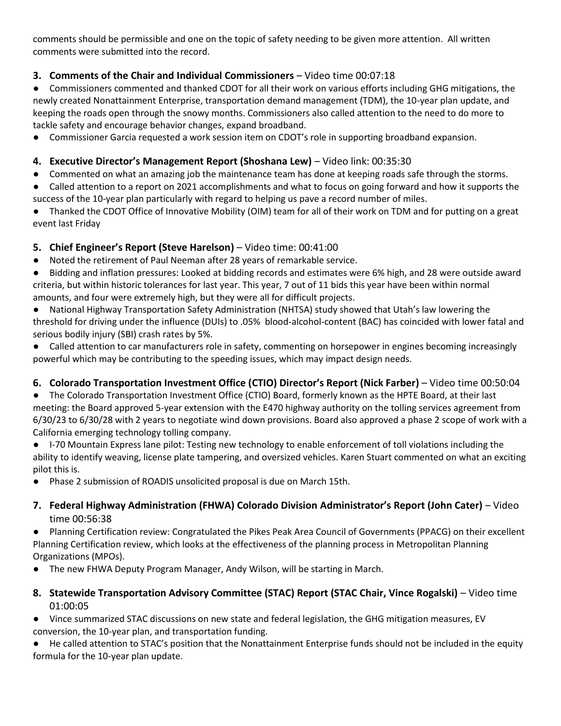comments should be permissible and one on the topic of safety needing to be given more attention. All written comments were submitted into the record.

## **3. Comments of the Chair and Individual Commissioners** – Video time 00:07:18

● Commissioners commented and thanked CDOT for all their work on various efforts including GHG mitigations, the newly created Nonattainment Enterprise, transportation demand management (TDM), the 10-year plan update, and keeping the roads open through the snowy months. Commissioners also called attention to the need to do more to tackle safety and encourage behavior changes, expand broadband.

● Commissioner Garcia requested a work session item on CDOT's role in supporting broadband expansion.

## **4. Executive Director's Management Report (Shoshana Lew)** – Video link: 00:35:30

- Commented on what an amazing job the maintenance team has done at keeping roads safe through the storms.
- Called attention to a report on 2021 accomplishments and what to focus on going forward and how it supports the success of the 10-year plan particularly with regard to helping us pave a record number of miles.
- Thanked the CDOT Office of Innovative Mobility (OIM) team for all of their work on TDM and for putting on a great event last Friday

## **5. Chief Engineer's Report (Steve Harelson)** – [Video t](https://www.youtube.com/watch?v=eFSWtEZNkko)ime: 00:41:00

- Noted the retirement of Paul Neeman after 28 years of remarkable service.
- Bidding and inflation pressures: Looked at bidding records and estimates were 6% high, and 28 were outside award criteria, but within historic tolerances for last year. This year, 7 out of 11 bids this year have been within normal amounts, and four were extremely high, but they were all for difficult projects.
- National Highway Transportation Safety Administration (NHTSA) study showed that Utah's law lowering the threshold for driving under the influence (DUIs) to .05% blood-alcohol-content (BAC) has coincided with lower fatal and serious bodily injury (SBI) crash rates by 5%.
- Called attention to car manufacturers role in safety, commenting on horsepower in engines becoming increasingly powerful which may be contributing to the speeding issues, which may impact design needs.

## **6. Colorado Transportation Investment Office (CTIO) Director's Report (Nick Farber)** – Video time 00:50:04

- The Colorado Transportation Investment Office (CTIO) Board, formerly known as the HPTE Board, at their last meeting: the Board approved 5-year extension with the E470 highway authority on the tolling services agreement from 6/30/23 to 6/30/28 with 2 years to negotiate wind down provisions. Board also approved a phase 2 scope of work with a California emerging technology tolling company.
- I-70 Mountain Express lane pilot: Testing new technology to enable enforcement of toll violations including the ability to identify weaving, license plate tampering, and oversized vehicles. Karen Stuart commented on what an exciting pilot this is.
- Phase 2 submission of ROADIS unsolicited proposal is due on March 15th.

#### **7. Federal Highway Administration (FHWA) Colorado Division Administrator's Report (John Cater)** – Video time 00:56:38

● Planning Certification review: Congratulated the Pikes Peak Area Council of Governments (PPACG) on their excellent Planning Certification review, which looks at the effectiveness of the planning process in Metropolitan Planning Organizations (MPOs).

- The new FHWA Deputy Program Manager, Andy Wilson, will be starting in March.
- **8. Statewide Transportation Advisory Committee (STAC) Report (STAC Chair, Vince Rogalski)**  Video time 01:00:05

Vince summarized STAC discussions on new state and federal legislation, the GHG mitigation measures, EV conversion, the 10-year plan, and transportation funding.

● He called attention to STAC's position that the Nonattainment Enterprise funds should not be included in the equity formula for the 10-year plan update.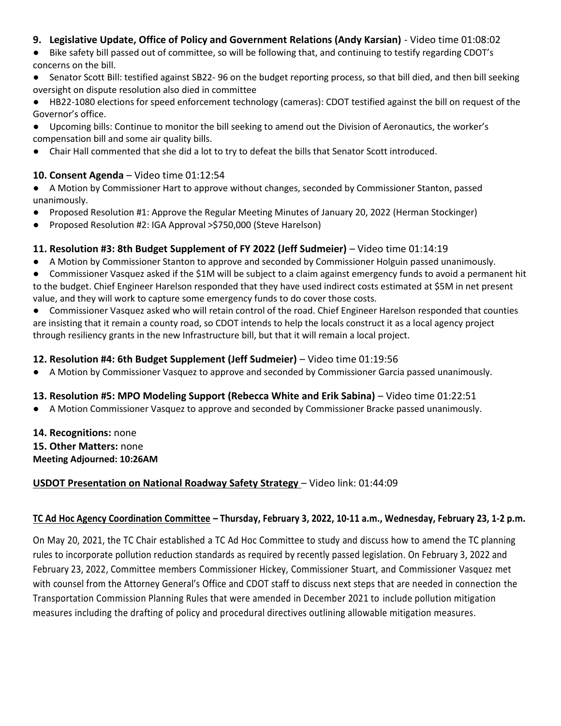#### **9. Legislative Update, Office of Policy and Government Relations (Andy Karsian)** - Video time 01:08:02

● Bike safety bill passed out of committee, so will be following that, and continuing to testify regarding CDOT's concerns on the bill.

- Senator Scott Bill: testified against SB22- 96 on the budget reporting process, so that bill died, and then bill seeking oversight on dispute resolution also died in committee
- HB22-1080 elections for speed enforcement technology (cameras): CDOT testified against the bill on request of the Governor's office.
- Upcoming bills: Continue to monitor the bill seeking to amend out the Division of Aeronautics, the worker's compensation bill and some air quality bills.
- Chair Hall commented that she did a lot to try to defeat the bills that Senator Scott introduced.

#### **10. Consent Agenda** – Video time 01:12:54

- A Motion by Commissioner Hart to approve without changes, seconded by Commissioner Stanton, passed unanimously.
- Proposed Resolution #1: Approve the Regular Meeting Minutes of January 20, 2022 (Herman Stockinger)
- Proposed Resolution #2: IGA Approval >\$750,000 (Steve Harelson)

## **11. Resolution #3: 8th Budget Supplement of FY 2022 (Jeff Sudmeier)** – Video time 01:14:19

- A Motion by Commissioner Stanton to approve and seconded by Commissioner Holguin passed unanimously.
- Commissioner Vasquez asked if the \$1M will be subject to a claim against emergency funds to avoid a permanent hit to the budget. Chief Engineer Harelson responded that they have used indirect costs estimated at \$5M in net present value, and they will work to capture some emergency funds to do cover those costs.
- Commissioner Vasquez asked who will retain control of the road. Chief Engineer Harelson responded that counties are insisting that it remain a county road, so CDOT intends to help the locals construct it as a local agency project through resiliency grants in the new Infrastructure bill, but that it will remain a local project.

#### **12. Resolution #4: 6th Budget Supplement (Jeff Sudmeier)** – Video time 01:19:56

A Motion by Commissioner Vasquez to approve and seconded by Commissioner Garcia passed unanimously.

#### **13. Resolution #5: MPO Modeling Support (Rebecca White and Erik Sabina)** – Video time 01:22:51

● A Motion Commissioner Vasquez to approve and seconded by Commissioner Bracke passed unanimously.

#### **14. Recognitions:** none

- **15. Other Matters:** none
- **Meeting Adjourned: 10:26AM**

#### **USDOT Presentation on National Roadway Safety Strategy** – Video link: 01:44:09

#### **TC Ad Hoc Agency Coordination Committee – Thursday, February 3, 2022, 10-11 a.m., Wednesday, February 23, 1-2 p.m.**

On May 20, 2021, the TC Chair established a TC Ad Hoc Committee to study and discuss how to amend the TC planning rules to incorporate pollution reduction standards as required by recently passed legislation. On February 3, 2022 and February 23, 2022, Committee members Commissioner Hickey, Commissioner Stuart, and Commissioner Vasquez met with counsel from the Attorney General's Office and CDOT staff to discuss next steps that are needed in connection the Transportation Commission Planning Rules that were amended in December 2021 to include pollution mitigation measures including the drafting of policy and procedural directives outlining allowable mitigation measures.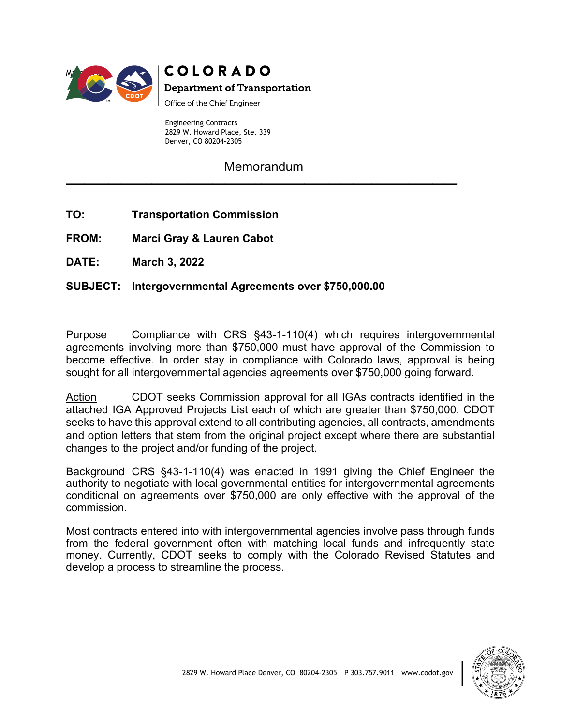

# **COLORADO**

**Department of Transportation** 

Office of the Chief Engineer

Engineering Contracts 2829 W. Howard Place, Ste. 339 Denver, CO 80204-2305

**Memorandum \_\_\_\_\_\_\_\_\_\_\_\_\_\_\_\_\_\_\_\_\_\_\_\_\_\_\_\_\_\_\_\_\_\_\_\_\_\_\_\_\_\_\_\_\_\_\_\_\_\_\_\_\_\_\_\_\_\_\_\_\_\_\_\_**

**TO: Transportation Commission**

**FROM: Marci Gray & Lauren Cabot**

**DATE: March 3, 2022**

## **SUBJECT: Intergovernmental Agreements over \$750,000.00**

Purpose Compliance with CRS §43-1-110(4) which requires intergovernmental agreements involving more than \$750,000 must have approval of the Commission to become effective. In order stay in compliance with Colorado laws, approval is being sought for all intergovernmental agencies agreements over \$750,000 going forward.

Action CDOT seeks Commission approval for all IGAs contracts identified in the attached IGA Approved Projects List each of which are greater than \$750,000. CDOT seeks to have this approval extend to all contributing agencies, all contracts, amendments and option letters that stem from the original project except where there are substantial changes to the project and/or funding of the project.

Background CRS §43-1-110(4) was enacted in 1991 giving the Chief Engineer the authority to negotiate with local governmental entities for intergovernmental agreements conditional on agreements over \$750,000 are only effective with the approval of the commission.

Most contracts entered into with intergovernmental agencies involve pass through funds from the federal government often with matching local funds and infrequently state money. Currently, CDOT seeks to comply with the Colorado Revised Statutes and develop a process to streamline the process.

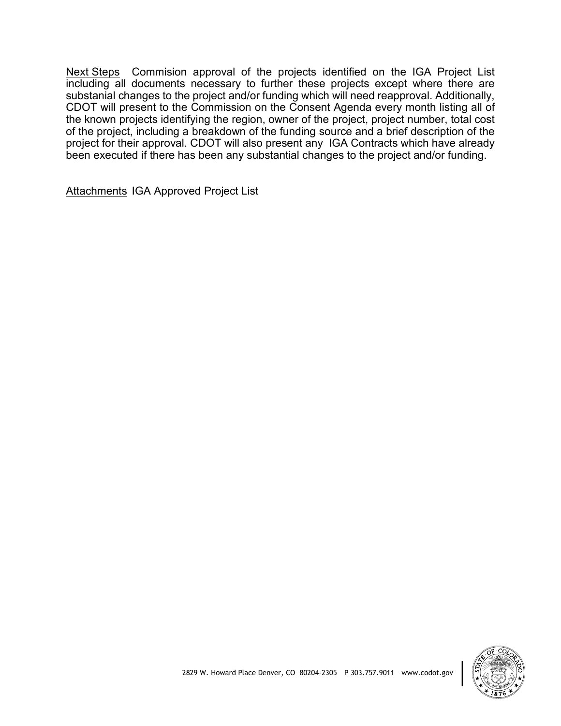Next Steps Commision approval of the projects identified on the IGA Project List including all documents necessary to further these projects except where there are substanial changes to the project and/or funding which will need reapproval. Additionally, CDOT will present to the Commission on the Consent Agenda every month listing all of the known projects identifying the region, owner of the project, project number, total cost of the project, including a breakdown of the funding source and a brief description of the project for their approval. CDOT will also present any IGA Contracts which have already been executed if there has been any substantial changes to the project and/or funding.

Attachments IGA Approved Project List

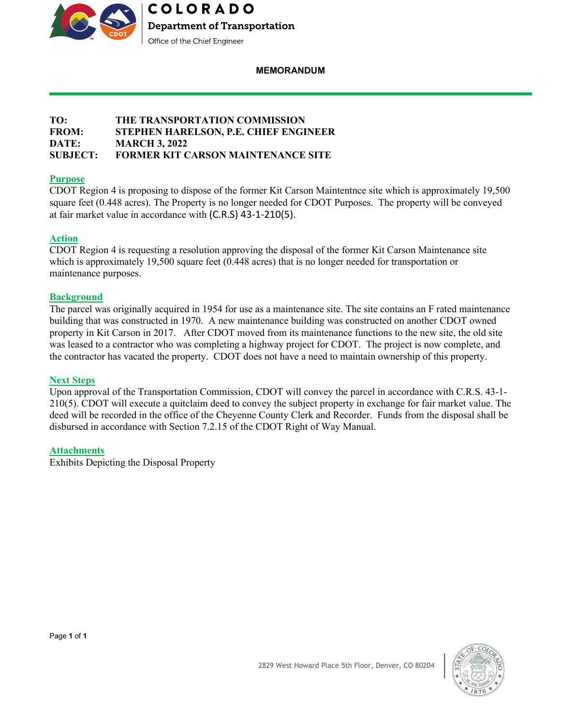

#### **MEMORANDUM**

#### **TO: THE TRANSPORTATION COMMISSION FROM: STEPHEN HARELSON, P.E. CHIEF ENGINEER DATE: MARCH 3, 2022 SUBJECT: FORMER KIT CARSON MAINTENANCE SITE**

#### **Purpose**

CDOT Region 4 is proposing to dispose of the former Kit Carson Maintentnce site which is approximately 19,500 square feet (0.448 acres). The Property is no longer needed for CDOT Purposes. The property will be conveyed at fair market value in accordance with (C.R.S) 43-1-210(5).

#### **Action**

CDOT Region 4 is requesting a resolution approving the disposal of the former Kit Carson Maintenance site which is approximately 19,500 square feet (0.448 acres) that is no longer needed for transportation or maintenance purposes.

#### **Background**

The parcel was originally acquired in 1954 for use as a maintenance site. The site contains an F rated maintenance building that was constructed in 1970. A new maintenance building was constructed on another CDOT owned property in Kit Carson in 2017. After CDOT moved from its maintenance functions to the new site, the old site was leased to a contractor who was completing a highway project for CDOT. The project is now complete, and the contractor has vacated the property. CDOT does not have a need to maintain ownership of this property.

#### **Next Steps**

Upon approval of the Transportation Commission, CDOT will convey the parcel in accordance with C.R.S. 43-1- 210(5). CDOT will execute a quitclaim deed to convey the subject property in exchange for fair market value. The deed will be recorded in the office of the Cheyenne County Clerk and Recorder. Funds from the disposal shall be disbursed in accordance with Section 7.2.15 of the CDOT Right of Way Manual.

2829 West Howard Place 5th Floor, Denver, CO 80204

#### **Attachments**

Exhibits Depicting the Disposal Property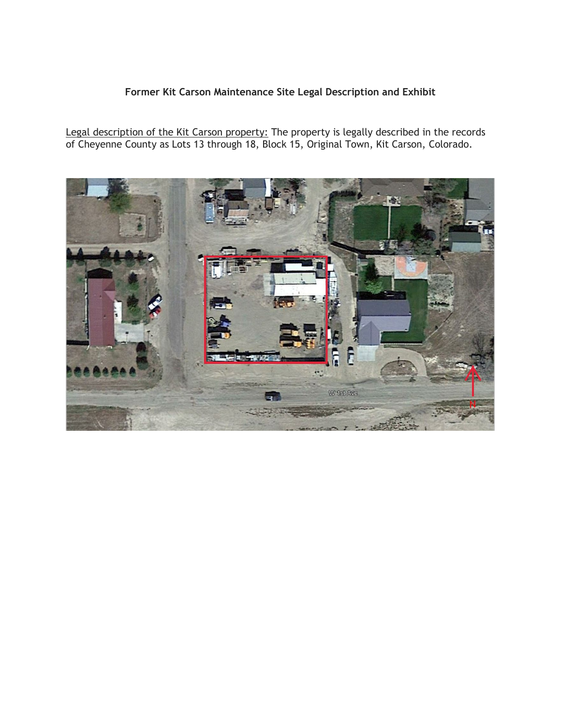## **Former Kit Carson Maintenance Site Legal Description and Exhibit**

Legal description of the Kit Carson property: The property is legally described in the records of Cheyenne County as Lots 13 through 18, Block 15, Original Town, Kit Carson, Colorado.

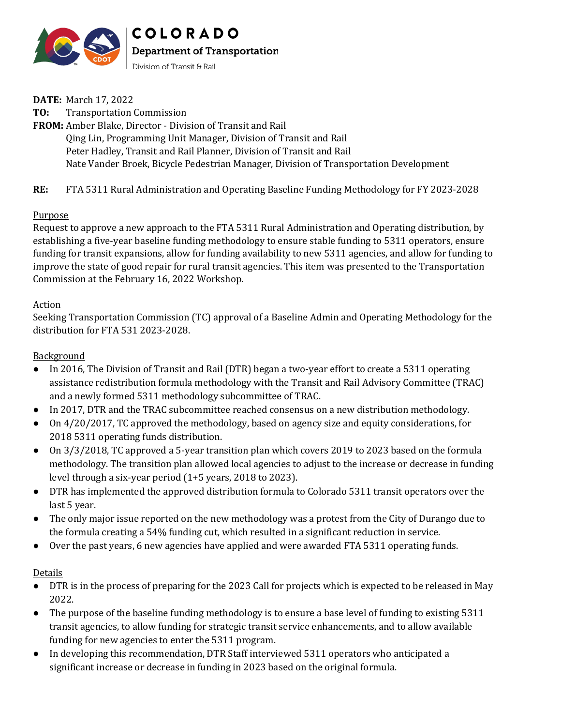

**DATE:** March 17, 2022

**TO:** Transportation Commission **FROM:** Amber Blake, Director - Division of Transit and Rail Qing Lin, Programming Unit Manager, Division of Transit and Rail Peter Hadley, Transit and Rail Planner, Division of Transit and Rail Nate Vander Broek, Bicycle Pedestrian Manager, Division of Transportation Development

**RE:** FTA 5311 Rural Administration and Operating Baseline Funding Methodology for FY 2023-2028

#### Purpose

Request to approve a new approach to the FTA 5311 Rural Administration and Operating distribution, by establishing a five-year baseline funding methodology to ensure stable funding to 5311 operators, ensure funding for transit expansions, allow for funding availability to new 5311 agencies, and allow for funding to improve the state of good repair for rural transit agencies. This item was presented to the Transportation Commission at the February 16, 2022 Workshop.

#### Action

Seeking Transportation Commission (TC) approval of a Baseline Admin and Operating Methodology for the distribution for FTA 531 2023-2028.

#### **Background**

- In 2016, The Division of Transit and Rail (DTR) began a two-year effort to create a 5311 operating assistance redistribution formula methodology with the Transit and Rail Advisory Committee (TRAC) and a newly formed 5311 methodology subcommittee of TRAC.
- In 2017, DTR and the TRAC subcommittee reached consensus on a new distribution methodology.
- On 4/20/2017, TC approved the methodology, based on agency size and equity considerations, for 2018 5311 operating funds distribution.
- On 3/3/2018, TC approved a 5-year transition plan which covers 2019 to 2023 based on the formula methodology. The transition plan allowed local agencies to adjust to the increase or decrease in funding level through a six-year period (1+5 years, 2018 to 2023).
- DTR has implemented the approved distribution formula to Colorado 5311 transit operators over the last 5 year.
- The only major issue reported on the new methodology was a protest from the City of Durango due to the formula creating a 54% funding cut, which resulted in a significant reduction in service.
- Over the past years, 6 new agencies have applied and were awarded FTA 5311 operating funds.

#### Details

- DTR is in the process of preparing for the 2023 Call for projects which is expected to be released in May 2022.
- The purpose of the baseline funding methodology is to ensure a base level of funding to existing 5311 transit agencies, to allow funding for strategic transit service enhancements, and to allow available funding for new agencies to enter the 5311 program.
- In developing this recommendation, DTR Staff interviewed 5311 operators who anticipated a significant increase or decrease in funding in 2023 based on the original formula.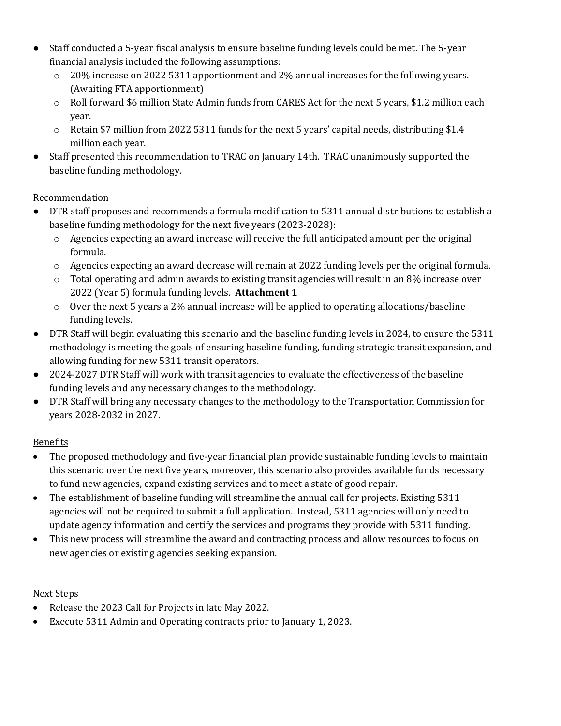- Staff conducted a 5-year fiscal analysis to ensure baseline funding levels could be met. The 5-year financial analysis included the following assumptions:
	- o 20% increase on 2022 5311 apportionment and 2% annual increases for the following years. (Awaiting FTA apportionment)
	- o Roll forward \$6 million State Admin funds from CARES Act for the next 5 years, \$1.2 million each year.
	- $\circ$  Retain \$7 million from 2022 5311 funds for the next 5 years' capital needs, distributing \$1.4 million each year.
- Staff presented this recommendation to TRAC on January 14th. TRAC unanimously supported the baseline funding methodology.

## Recommendation

- DTR staff proposes and recommends a formula modification to 5311 annual distributions to establish a baseline funding methodology for the next five years (2023-2028):
	- o Agencies expecting an award increase will receive the full anticipated amount per the original formula.
	- $\circ$  Agencies expecting an award decrease will remain at 2022 funding levels per the original formula.
	- $\circ$  Total operating and admin awards to existing transit agencies will result in an 8% increase over 2022 (Year 5) formula funding levels. **Attachment 1**
	- $\circ$  Over the next 5 years a 2% annual increase will be applied to operating allocations/baseline funding levels.
- DTR Staff will begin evaluating this scenario and the baseline funding levels in 2024, to ensure the 5311 methodology is meeting the goals of ensuring baseline funding, funding strategic transit expansion, and allowing funding for new 5311 transit operators.
- 2024-2027 DTR Staff will work with transit agencies to evaluate the effectiveness of the baseline funding levels and any necessary changes to the methodology.
- DTR Staff will bring any necessary changes to the methodology to the Transportation Commission for years 2028-2032 in 2027.

## Benefits

- The proposed methodology and five-year financial plan provide sustainable funding levels to maintain this scenario over the next five years, moreover, this scenario also provides available funds necessary to fund new agencies, expand existing services and to meet a state of good repair.
- The establishment of baseline funding will streamline the annual call for projects. Existing 5311 agencies will not be required to submit a full application. Instead, 5311 agencies will only need to update agency information and certify the services and programs they provide with 5311 funding.
- This new process will streamline the award and contracting process and allow resources to focus on new agencies or existing agencies seeking expansion.

## Next Steps

- Release the 2023 Call for Projects in late May 2022.
- Execute 5311 Admin and Operating contracts prior to January 1, 2023.